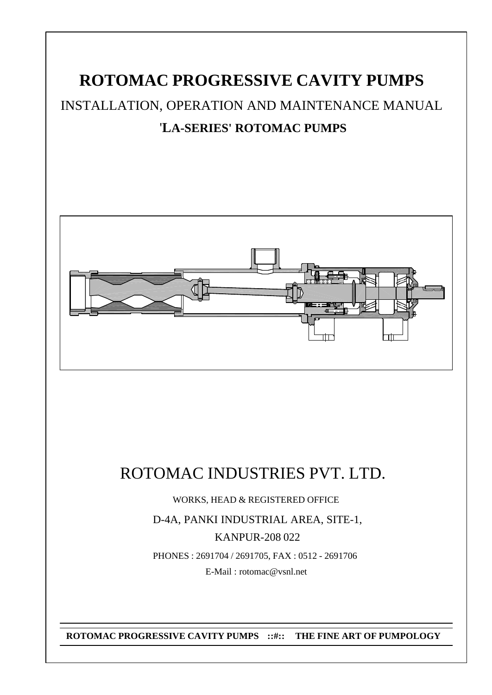# **ROTOMAC PROGRESSIVE CAVITY PUMPS** INSTALLATION, OPERATION AND MAINTENANCE MANUAL '**LA-SERIES' ROTOMAC PUMPS**



# ROTOMAC INDUSTRIES PVT. LTD.

WORKS, HEAD & REGISTERED OFFICE

D-4A, PANKI INDUSTRIAL AREA, SITE-1, KANPUR-208 022 PHONES : 2691704 / 2691705, FAX : 0512 - 2691706

E-Mail : rotomac@vsnl.net

**ROTOMAC PROGRESSIVE CAVITY PUMPS ::#:: THE FINE ART OF PUMPOLOGY**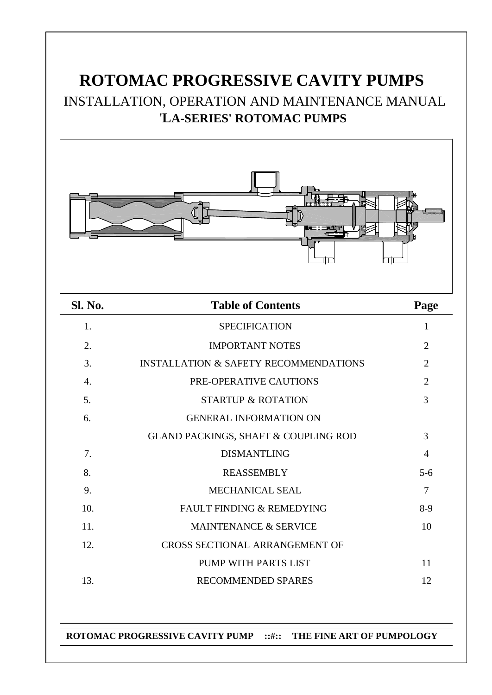# **ROTOMAC PROGRESSIVE CAVITY PUMPS** INSTALLATION, OPERATION AND MAINTENANCE MANUAL '**LA-SERIES' ROTOMAC PUMPS**



| Sl. No. | <b>Table of Contents</b>                         | Page           |
|---------|--------------------------------------------------|----------------|
| 1.      | <b>SPECIFICATION</b>                             | $\mathbf{1}$   |
| 2.      | <b>IMPORTANT NOTES</b>                           | $\overline{2}$ |
| 3.      | <b>INSTALLATION &amp; SAFETY RECOMMENDATIONS</b> | $\overline{2}$ |
| 4.      | PRE-OPERATIVE CAUTIONS                           | $\overline{2}$ |
| 5.      | <b>STARTUP &amp; ROTATION</b>                    | 3              |
| 6.      | <b>GENERAL INFORMATION ON</b>                    |                |
|         | <b>GLAND PACKINGS, SHAFT &amp; COUPLING ROD</b>  | 3              |
| 7.      | <b>DISMANTLING</b>                               | $\overline{4}$ |
| 8.      | <b>REASSEMBLY</b>                                | $5 - 6$        |
| 9.      | MECHANICAL SEAL                                  | 7              |
| 10.     | FAULT FINDING & REMEDYING                        | $8-9$          |
| 11.     | MAINTENANCE & SERVICE                            | 10             |
| 12.     | CROSS SECTIONAL ARRANGEMENT OF                   |                |
|         | PUMP WITH PARTS LIST                             | 11             |
| 13.     | <b>RECOMMENDED SPARES</b>                        | 12             |

### **ROTOMAC PROGRESSIVE CAVITY PUMP ::#:: THE FINE ART OF PUMPOLOGY**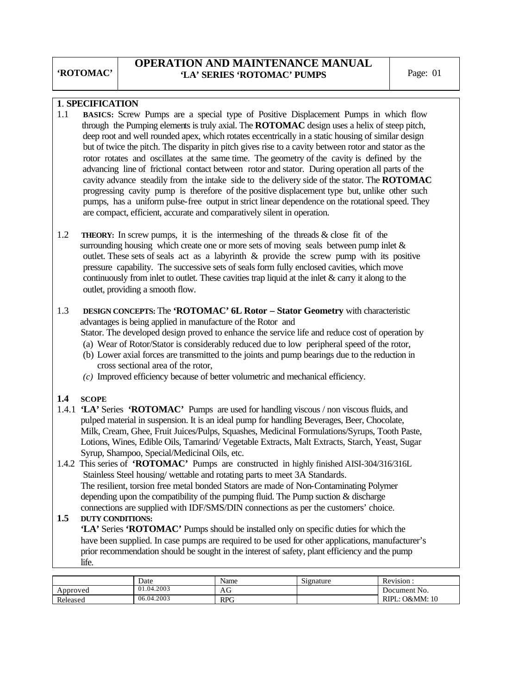## **OPERATION AND MAINTENANCE MANUAL**  'LA' SERIES 'ROTOMAC' PUMPS Page: 01

## **1**. **SPECIFICATION**

- 1.1 **BASICS:** Screw Pumps are a special type of Positive Displacement Pumps in which flow through the Pumping elements is truly axial. The **ROTOMAC** design uses a helix of steep pitch, deep root and well rounded apex, which rotates eccentrically in a static housing of similar design but of twice the pitch. The disparity in pitch gives rise to a cavity between rotor and stator as the rotor rotates and oscillates at the same time. The geometry of the cavity is defined by the advancing line of frictional contact between rotor and stator. During operation all parts of the cavity advance steadily from the intake side to the delivery side of the stator. The **ROTOMAC** progressing cavity pump is therefore of the positive displacement type but, unlike other such pumps, has a uniform pulse-free output in strict linear dependence on the rotational speed. They are compact, efficient, accurate and comparatively silent in operation.
- 1.2 **THEORY:** In screw pumps, it is the intermeshing of the threads & close fit of the surrounding housing which create one or more sets of moving seals between pump inlet & outlet. These sets of seals act as a labyrinth & provide the screw pump with its positive pressure capability. The successive sets of seals form fully enclosed cavities, which move continuously from inlet to outlet. These cavities trap liquid at the inlet & carry it along to the outlet, providing a smooth flow.
- 1.3 **DESIGN CONCEPTS:** The **'ROTOMAC' 6L Rotor Stator Geometry** with characteristic advantages is being applied in manufacture of the Rotor and Stator. The developed design proved to enhance the service life and reduce cost of operation by (a) Wear of Rotor/Stator is considerably reduced due to low peripheral speed of the rotor,
	- (b) Lower axial forces are transmitted to the joints and pump bearings due to the reduction in cross sectional area of the rotor,
	- *(c)* Improved efficiency because of better volumetric and mechanical efficiency.

### **1.4 SCOPE**

- 1.4.1 **'LA'** Series **'ROTOMAC'** Pumps are used for handling viscous / non viscous fluids, and pulped material in suspension. It is an ideal pump for handling Beverages, Beer, Chocolate, Milk, Cream, Ghee, Fruit Juices/Pulps, Squashes, Medicinal Formulations/Syrups, Tooth Paste, Lotions, Wines, Edible Oils, Tamarind/ Vegetable Extracts, Malt Extracts, Starch, Yeast, Sugar Syrup, Shampoo, Special/Medicinal Oils, etc.
- 1.4.2 This series of **'ROTOMAC'** Pumps are constructed in highly finished AISI-304/316/316L Stainless Steel housing/ wettable and rotating parts to meet 3A Standards. The resilient, torsion free metal bonded Stators are made of Non-Contaminating Polymer depending upon the compatibility of the pumping fluid. The Pump suction  $&$  discharge

#### connections are supplied with IDF/SMS/DIN connections as per the customers' choice.<br>1.5 DUTY CONDITIONS: **1.5 DUTY CONDITIONS: 'LA'** Series **'ROTOMAC'** Pumps should be installed only on specific duties for which the have been supplied. In case pumps are required to be used for other applications, manufacturer's prior recommendation should be sought in the interest of safety, plant efficiency and the pump life.

|          | Date       | Name       | $\sim$<br>Signature | Revision.         |
|----------|------------|------------|---------------------|-------------------|
| Approved | 01.04.2003 | AG         |                     | Document No.      |
| Released | 06.04.2003 | <b>RPG</b> |                     | RIPL:<br>O&MM: 10 |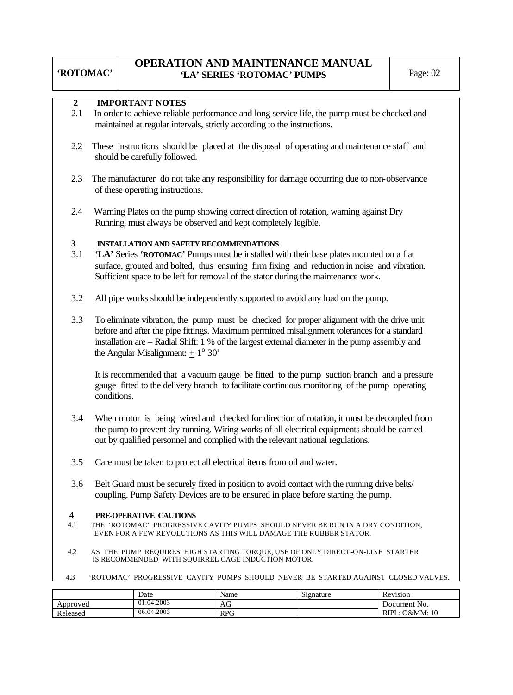## **OPERATION AND MAINTENANCE MANUAL**  'LA' SERIES 'ROTOMAC' PUMPS Page: 02

| <b>IMPORTANT NOTES</b> |
|------------------------|
|------------------------|

- 2.1 In order to achieve reliable performance and long service life, the pump must be checked and maintained at regular intervals, strictly according to the instructions.
- 2.2 These instructions should be placed at the disposal of operating and maintenance staff and should be carefully followed.
- 2.3 The manufacturer do not take any responsibility for damage occurring due to non-observance of these operating instructions.
- 2.4 Warning Plates on the pump showing correct direction of rotation, warning against Dry Running, must always be observed and kept completely legible.

#### **3 INSTALLATION AND SAFETY RECOMMENDATIONS**

- 3.1 **'LA'** Series **'ROTOMAC'** Pumps must be installed with their base plates mounted on a flat surface, grouted and bolted, thus ensuring firm fixing and reduction in noise and vibration. Sufficient space to be left for removal of the stator during the maintenance work.
- 3.2 All pipe works should be independently supported to avoid any load on the pump.
- 3.3 To eliminate vibration, the pump must be checked for proper alignment with the drive unit before and after the pipe fittings. Maximum permitted misalignment tolerances for a standard installation are – Radial Shift: 1 % of the largest external diameter in the pump assembly and the Angular Misalignment:  $\pm 1^{\circ}$  30'

 It is recommended that a vacuum gauge be fitted to the pump suction branch and a pressure gauge fitted to the delivery branch to facilitate continuous monitoring of the pump operating conditions.

- 3.4 When motor is being wired and checked for direction of rotation, it must be decoupled from the pump to prevent dry running. Wiring works of all electrical equipments should be carried out by qualified personnel and complied with the relevant national regulations.
- 3.5 Care must be taken to protect all electrical items from oil and water.
- 3.6 Belt Guard must be securely fixed in position to avoid contact with the running drive belts/ coupling. Pump Safety Devices are to be ensured in place before starting the pump.

#### **4 PRE-OPERATIVE CAUTIONS**

- 4.1THE 'ROTOMAC' PROGRESSIVE CAVITY PUMPS SHOULD NEVER BE RUN IN A DRY CONDITION, EVEN FOR A FEW REVOLUTIONS AS THIS WILL DAMAGE THE RUBBER STATOR.
- 4.2 AS THE PUMP REQUIRES HIGH STARTING TORQUE, USE OF ONLY DIRECT-ON-LINE STARTER IS RECOMMENDED WITH SQUIRREL CAGE INDUCTION MOTOR.
- 4.3 'ROTOMAC' PROGRESSIVE CAVITY PUMPS SHOULD NEVER BE STARTED AGAINST CLOSED VALVES.

|          | Date             | Name       | $\sim \cdot$<br>Signature | Revision.                   |
|----------|------------------|------------|---------------------------|-----------------------------|
| Approved | 4.2003<br>01.04. | ΑU         |                           | Document No.                |
| Released | 4.2003<br>06.04. | <b>RPG</b> |                           | <b>D&amp;MM:</b> 10<br>RIPI |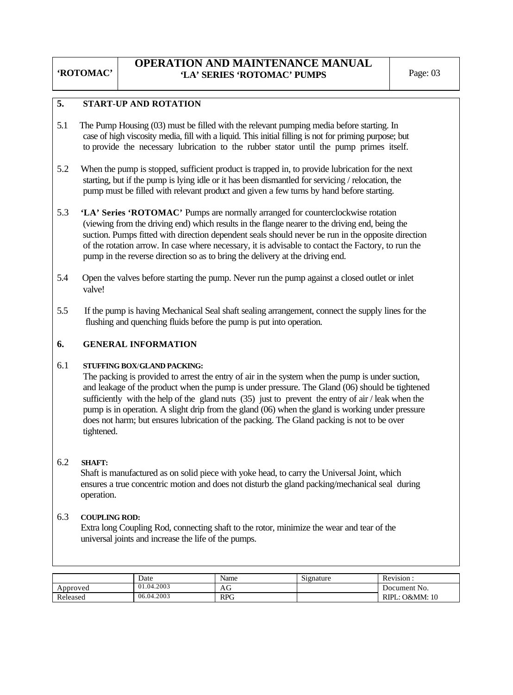## **OPERATION AND MAINTENANCE MANUAL**  'LA' SERIES 'ROTOMAC' PUMPS Page: 03

#### **5. START**-**UP AND ROTATION**

- 5.1 The Pump Housing (03) must be filled with the relevant pumping media before starting. In case of high viscosity media, fill with a liquid. This initial filling is not for priming purpose; but to provide the necessary lubrication to the rubber stator until the pump primes itself.
- 5.2 When the pump is stopped, sufficient product is trapped in, to provide lubrication for the next starting, but if the pump is lying idle or it has been dismantled for servicing / relocation, the pump must be filled with relevant product and given a few turns by hand before starting.
- 5.3 **'LA' Series 'ROTOMAC'** Pumps are normally arranged for counterclockwise rotation (viewing from the driving end) which results in the flange nearer to the driving end, being the suction. Pumps fitted with direction dependent seals should never be run in the opposite direction of the rotation arrow. In case where necessary, it is advisable to contact the Factory, to run the pump in the reverse direction so as to bring the delivery at the driving end.
- 5.4 Open the valves before starting the pump. Never run the pump against a closed outlet or inlet valve!
- 5.5 If the pump is having Mechanical Seal shaft sealing arrangement, connect the supply lines for the flushing and quenching fluids before the pump is put into operation.

### **6. GENERAL INFORMATION**

#### 6.1 **STUFFING BOX**/**GLAND PACKING:**

 The packing is provided to arrest the entry of air in the system when the pump is under suction, and leakage of the product when the pump is under pressure. The Gland (06) should be tightened sufficiently with the help of the gland nuts  $(35)$  just to prevent the entry of air / leak when the pump is in operation. A slight drip from the gland (06) when the gland is working under pressure does not harm; but ensures lubrication of the packing. The Gland packing is not to be over tightened.

#### 6.2 **SHAFT:**

 Shaft is manufactured as on solid piece with yoke head, to carry the Universal Joint, which ensures a true concentric motion and does not disturb the gland packing/mechanical seal during operation.

#### 6.3 **COUPLING ROD:**

Extra long Coupling Rod, connecting shaft to the rotor, minimize the wear and tear of the universal joints and increase the life of the pumps.

|          | Date       | Name       | $\sim \cdot$<br>Signature | Revision:         |
|----------|------------|------------|---------------------------|-------------------|
| Approved | 01.04.2003 | AU         |                           | Document No.      |
| Released | 06.04.2003 | <b>RPG</b> |                           | O&MM: 10<br>RIPL: |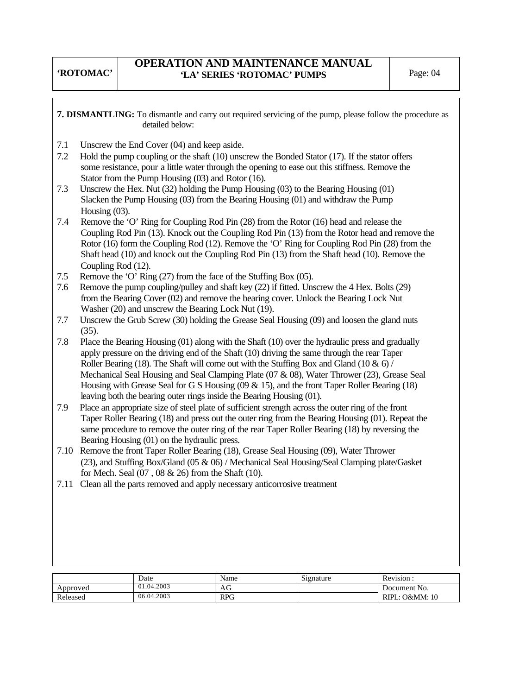## **OPERATION AND MAINTENANCE MANUAL**  'LA' SERIES 'ROTOMAC' PUMPS Page: 04

**7. DISMANTLING:** To dismantle and carry out required servicing of the pump, please follow the procedure as detailed below:

- 7.1 Unscrew the End Cover (04) and keep aside.
- 7.2 Hold the pump coupling or the shaft (10) unscrew the Bonded Stator (17). If the stator offers some resistance, pour a little water through the opening to ease out this stiffness. Remove the Stator from the Pump Housing (03) and Rotor (16).
- 7.3 Unscrew the Hex. Nut (32) holding the Pump Housing (03) to the Bearing Housing (01) Slacken the Pump Housing (03) from the Bearing Housing (01) and withdraw the Pump Housing (03).
- 7.4 Remove the 'O' Ring for Coupling Rod Pin (28) from the Rotor (16) head and release the Coupling Rod Pin (13). Knock out the Coupling Rod Pin (13) from the Rotor head and remove the Rotor (16) form the Coupling Rod (12). Remove the 'O' Ring for Coupling Rod Pin (28) from the Shaft head (10) and knock out the Coupling Rod Pin (13) from the Shaft head (10). Remove the Coupling Rod (12).
- 7.5 Remove the 'O' Ring (27) from the face of the Stuffing Box (05).
- 7.6 Remove the pump coupling/pulley and shaft key (22) if fitted. Unscrew the 4 Hex. Bolts (29) from the Bearing Cover (02) and remove the bearing cover. Unlock the Bearing Lock Nut Washer (20) and unscrew the Bearing Lock Nut (19).
- 7.7 Unscrew the Grub Screw (30) holding the Grease Seal Housing (09) and loosen the gland nuts (35).<br>7.8 Place
- Place the Bearing Housing (01) along with the Shaft (10) over the hydraulic press and gradually apply pressure on the driving end of the Shaft (10) driving the same through the rear Taper Roller Bearing (18). The Shaft will come out with the Stuffing Box and Gland (10  $\&$  6) / Mechanical Seal Housing and Seal Clamping Plate (07 & 08), Water Thrower (23), Grease Seal Housing with Grease Seal for G S Housing (09 & 15), and the front Taper Roller Bearing (18) leaving both the bearing outer rings inside the Bearing Housing (01).
- 7.9 Place an appropriate size of steel plate of sufficient strength across the outer ring of the front Taper Roller Bearing (18) and press out the outer ring from the Bearing Housing (01). Repeat the same procedure to remove the outer ring of the rear Taper Roller Bearing (18) by reversing the Bearing Housing (01) on the hydraulic press.
- 7.10 Remove the front Taper Roller Bearing (18), Grease Seal Housing (09), Water Thrower (23), and Stuffing Box/Gland (05 & 06) / Mechanical Seal Housing/Seal Clamping plate/Gasket for Mech. Seal (07 , 08 & 26) from the Shaft (10).
- 7.11 Clean all the parts removed and apply necessary anticorrosive treatment

|          | Date       | Name       | Signature | Revision.         |
|----------|------------|------------|-----------|-------------------|
| Approved | 01.04.2003 | AU         |           | Document No.      |
| Released | 06.04.2003 | <b>RPG</b> |           | RIPL.<br>O&MM: 10 |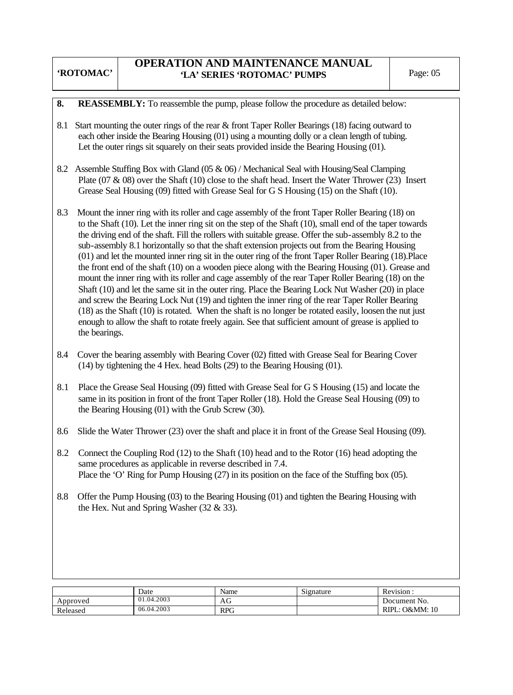## **OPERATION AND MAINTENANCE MANUAL**  'LA' SERIES 'ROTOMAC' PUMPS Page: 05

#### **8. REASSEMBLY:** To reassemble the pump, please follow the procedure as detailed below:

- 8.1 Start mounting the outer rings of the rear & front Taper Roller Bearings (18) facing outward to each other inside the Bearing Housing (01) using a mounting dolly or a clean length of tubing. Let the outer rings sit squarely on their seats provided inside the Bearing Housing (01).
- 8.2 Assemble Stuffing Box with Gland (05 & 06) / Mechanical Seal with Housing/Seal Clamping Plate (07 & 08) over the Shaft (10) close to the shaft head. Insert the Water Thrower (23) Insert Grease Seal Housing (09) fitted with Grease Seal for G S Housing (15) on the Shaft (10).
- 8.3 Mount the inner ring with its roller and cage assembly of the front Taper Roller Bearing (18) on to the Shaft (10). Let the inner ring sit on the step of the Shaft (10), small end of the taper towards the driving end of the shaft. Fill the rollers with suitable grease. Offer the sub-assembly 8.2 to the sub-assembly 8.1 horizontally so that the shaft extension projects out from the Bearing Housing (01) and let the mounted inner ring sit in the outer ring of the front Taper Roller Bearing (18).Place the front end of the shaft (10) on a wooden piece along with the Bearing Housing (01). Grease and mount the inner ring with its roller and cage assembly of the rear Taper Roller Bearing (18) on the Shaft (10) and let the same sit in the outer ring. Place the Bearing Lock Nut Washer (20) in place and screw the Bearing Lock Nut (19) and tighten the inner ring of the rear Taper Roller Bearing (18) as the Shaft (10) is rotated. When the shaft is no longer be rotated easily, loosen the nut just enough to allow the shaft to rotate freely again. See that sufficient amount of grease is applied to the bearings.
- 8.4 Cover the bearing assembly with Bearing Cover (02) fitted with Grease Seal for Bearing Cover (14) by tightening the 4 Hex. head Bolts (29) to the Bearing Housing (01).
- 8.1 Place the Grease Seal Housing (09) fitted with Grease Seal for G S Housing (15) and locate the same in its position in front of the front Taper Roller (18). Hold the Grease Seal Housing (09) to the Bearing Housing (01) with the Grub Screw (30).
- 8.6 Slide the Water Thrower (23) over the shaft and place it in front of the Grease Seal Housing (09).
- 8.2 Connect the Coupling Rod (12) to the Shaft (10) head and to the Rotor (16) head adopting the same procedures as applicable in reverse described in 7.4. Place the 'O' Ring for Pump Housing (27) in its position on the face of the Stuffing box (05).
- 8.8 Offer the Pump Housing (03) to the Bearing Housing (01) and tighten the Bearing Housing with the Hex. Nut and Spring Washer (32 & 33).

|          | Date       | Name       | Signature | Revision.                     |
|----------|------------|------------|-----------|-------------------------------|
| Approved | 01.04.2003 | AG         |           | Document No.                  |
| Released | 06.04.2003 | <b>RPG</b> |           | RIPL:<br><b>O&amp;MM</b> : 10 |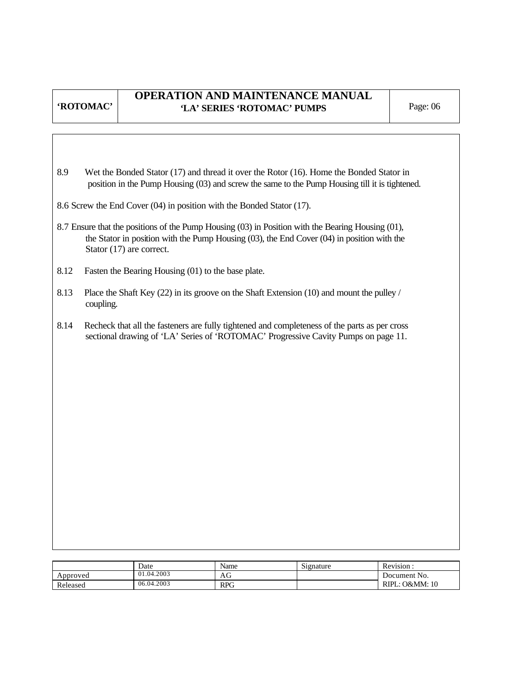## **OPERATION AND MAINTENANCE MANUAL**  'LA' SERIES 'ROTOMAC' PUMPS Page: 06

- 8.9 Wet the Bonded Stator (17) and thread it over the Rotor (16). Home the Bonded Stator in position in the Pump Housing (03) and screw the same to the Pump Housing till it is tightened.
- 8.6 Screw the End Cover (04) in position with the Bonded Stator (17).
- 8.7 Ensure that the positions of the Pump Housing (03) in Position with the Bearing Housing (01), the Stator in position with the Pump Housing (03), the End Cover (04) in position with the Stator (17) are correct.
- 8.12 Fasten the Bearing Housing (01) to the base plate.
- 8.13 Place the Shaft Key (22) in its groove on the Shaft Extension (10) and mount the pulley / coupling.
- 8.14 Recheck that all the fasteners are fully tightened and completeness of the parts as per cross sectional drawing of 'LA' Series of 'ROTOMAC' Progressive Cavity Pumps on page 11.

|          | Date       | Name         | $\sim$<br>Signature | Revision.              |
|----------|------------|--------------|---------------------|------------------------|
| Approved | 01.04.2003 | $\sim$<br>AG |                     | Document No.           |
| Released | 06.04.2003 | <b>RPG</b>   |                     | : O&MM: 10<br>$RIPL$ : |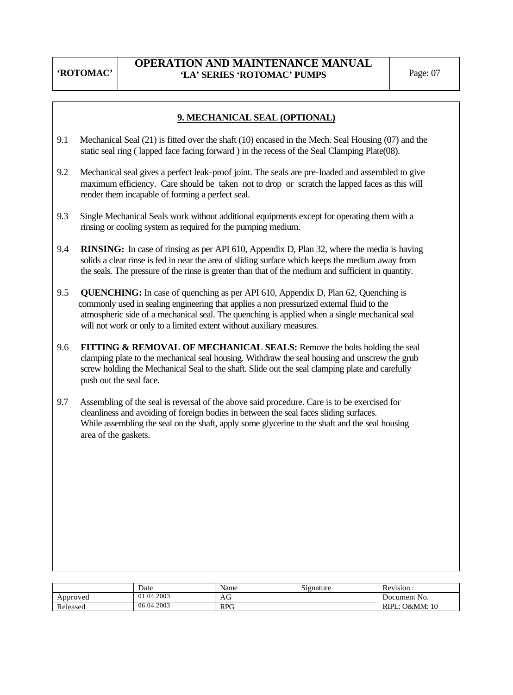## **OPERATION AND MAINTENANCE MANUAL**  'LA' SERIES 'ROTOMAC' PUMPS Page: 07

## **9. MECHANICAL SEAL (OPTIONAL)**

- 9.1 Mechanical Seal (21) is fitted over the shaft (10) encased in the Mech. Seal Housing (07) and the static seal ring ( lapped face facing forward ) in the recess of the Seal Clamping Plate(08).
- 9.2 Mechanical seal gives a perfect leak-proof joint. The seals are pre-loaded and assembled to give maximum efficiency. Care should be taken not to drop or scratch the lapped faces as this will render them incapable of forming a perfect seal.
- 9.3 Single Mechanical Seals work without additional equipments except for operating them with a rinsing or cooling system as required for the pumping medium.
- 9.4 **RINSING:** In case of rinsing as per API 610, Appendix D, Plan 32, where the media is having solids a clear rinse is fed in near the area of sliding surface which keeps the medium away from the seals. The pressure of the rinse is greater than that of the medium and sufficient in quantity.
- 9.5 **QUENCHING:** In case of quenching as per API 610, Appendix D, Plan 62, Quenching is commonly used in sealing engineering that applies a non pressurized external fluid to the atmospheric side of a mechanical seal. The quenching is applied when a single mechanical seal will not work or only to a limited extent without auxiliary measures.
- 9.6 **FITTING & REMOVAL OF MECHANICAL SEALS:** Remove the bolts holding the seal clamping plate to the mechanical seal housing. Withdraw the seal housing and unscrew the grub screw holding the Mechanical Seal to the shaft. Slide out the seal clamping plate and carefully push out the seal face.
- 9.7 Assembling of the seal is reversal of the above said procedure. Care is to be exercised for cleanliness and avoiding of foreign bodies in between the seal faces sliding surfaces. While assembling the seal on the shaft, apply some glycerine to the shaft and the seal housing area of the gaskets.

|          | Date       | Name       | Signature | Revision.                                |
|----------|------------|------------|-----------|------------------------------------------|
| Approved | 01.04.2003 | АG         |           | Document No.                             |
| Released | 06.04.2003 | <b>RPG</b> |           | <b>O&amp;MM:</b> 10<br><b>RIPI</b><br>л. |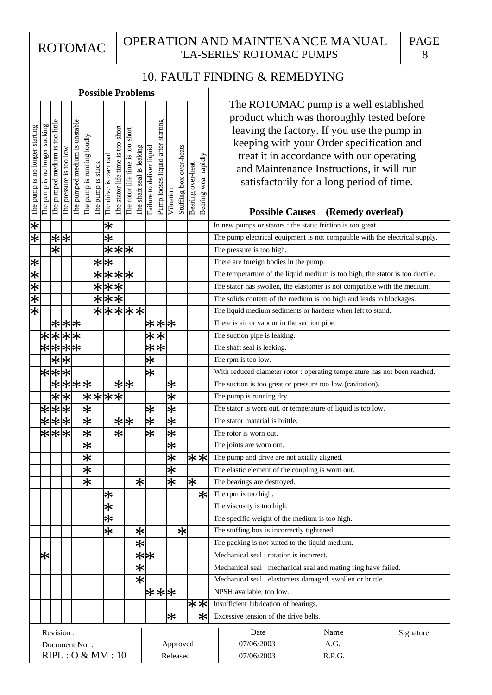#### 10. FAULT FINDING & REMEDYING

| <b>Possible Problems</b>       |                               |                                    |                         |                               |                            |                   |                       |                                                                |                                  |                           |                             |                                      |                   |                         |                   |                           |                                                                                                                                                                                                                                                                                                                                                                        |
|--------------------------------|-------------------------------|------------------------------------|-------------------------|-------------------------------|----------------------------|-------------------|-----------------------|----------------------------------------------------------------|----------------------------------|---------------------------|-----------------------------|--------------------------------------|-------------------|-------------------------|-------------------|---------------------------|------------------------------------------------------------------------------------------------------------------------------------------------------------------------------------------------------------------------------------------------------------------------------------------------------------------------------------------------------------------------|
| The pump is no longer starting | The pump is no longer sucking | too little<br>The pumped medium is | The pressure is too low | The pumped medium is unstable | The pump is running loudly | The pump is stuck | The drive is overload | The stator life time is too short                              | The rotor life time is too short | The shaft seal is leaking | Failure to deliver liquid   | starting<br>Pump looses liquid after | Vibration         | Stuffing box over-heats | Bearing over-heat | wear rapidly<br>Bearing   | The ROTOMAC pump is a well established<br>product which was thoroughly tested before<br>leaving the factory. If you use the pump in<br>keeping with your Order specification and<br>treat it in accordance with our operating<br>and Maintenance Instructions, it will run<br>satisfactorily for a long period of time.<br><b>Possible Causes</b><br>(Remedy overleaf) |
| $\overline{\ast}$              |                               |                                    |                         |                               |                            |                   | $\ast$                |                                                                |                                  |                           |                             |                                      |                   |                         |                   |                           | In new pumps or stators : the static friction is too great.                                                                                                                                                                                                                                                                                                            |
| $ \varkappa $                  |                               | $\ast$                             | $\ast$                  |                               |                            |                   | $\overline{\ast}$     |                                                                |                                  |                           |                             |                                      |                   |                         |                   |                           | The pump electrical equipment is not compatible with the electrical supply.                                                                                                                                                                                                                                                                                            |
|                                |                               | $\overline{\ast}$                  |                         |                               |                            |                   | $\bigstar$            |                                                                | * *                              |                           |                             |                                      |                   |                         |                   |                           | The pressure is too high.                                                                                                                                                                                                                                                                                                                                              |
|                                |                               |                                    |                         |                               |                            | $\ast$            | $\overline{\ast}$     |                                                                |                                  |                           |                             |                                      |                   |                         |                   |                           | There are foreign bodies in the pump.                                                                                                                                                                                                                                                                                                                                  |
| 米米米米                           |                               |                                    |                         |                               |                            | $\overline{\ast}$ |                       | ***                                                            |                                  |                           |                             |                                      |                   |                         |                   |                           | The temperarture of the liquid medium is too high, the stator is too ductile.                                                                                                                                                                                                                                                                                          |
|                                |                               |                                    |                         |                               |                            | $\overline{\ast}$ |                       | $\overline{**}$                                                |                                  |                           |                             |                                      |                   |                         |                   |                           | The stator has swollen, the elastomer is not compatible with the medium.                                                                                                                                                                                                                                                                                               |
|                                |                               |                                    |                         |                               |                            | $\overline{\ast}$ |                       | $\overline{**}$                                                |                                  |                           |                             |                                      |                   |                         |                   |                           | The solids content of the medium is too high and leads to blockages.                                                                                                                                                                                                                                                                                                   |
| $\overline{\ast}$              |                               |                                    |                         |                               |                            |                   |                       |                                                                | *****                            |                           |                             |                                      |                   |                         |                   |                           | The liquid medium sediments or hardens when left to stand.                                                                                                                                                                                                                                                                                                             |
|                                |                               |                                    |                         | ***                           |                            |                   |                       |                                                                |                                  |                           |                             | * * *                                |                   |                         |                   |                           | There is air or vapour in the suction pipe.                                                                                                                                                                                                                                                                                                                            |
|                                |                               |                                    |                         | ****                          |                            |                   |                       |                                                                |                                  |                           | $ \mathcal{X} $             | $\overline{\ast}$                    |                   |                         |                   |                           | The suction pipe is leaking.                                                                                                                                                                                                                                                                                                                                           |
|                                |                               | $\overline{*}$                     |                         | $\overline{**}$               |                            |                   |                       |                                                                |                                  |                           | $\overline{\ast}$           | $\overline{\ast}$                    |                   |                         |                   |                           | The shaft seal is leaking.                                                                                                                                                                                                                                                                                                                                             |
|                                |                               | $\frac{1}{\lambda}$                | 氺                       |                               |                            |                   |                       |                                                                |                                  |                           | $\overline{\ast}$           |                                      |                   |                         |                   |                           | The rpm is too low.                                                                                                                                                                                                                                                                                                                                                    |
|                                |                               | $* *$                              | $\ast$                  |                               |                            |                   |                       |                                                                |                                  |                           | $\overline{\ast}$           |                                      |                   |                         |                   |                           | With reduced diameter rotor : operating temperature has not been reached.                                                                                                                                                                                                                                                                                              |
|                                |                               | $\frac{1}{\lambda}$                |                         | $*$ $*$                       |                            |                   |                       |                                                                | $* * $                           |                           |                             |                                      | $\ast$            |                         |                   |                           | The suction is too great or pressure too low (cavitation).                                                                                                                                                                                                                                                                                                             |
|                                |                               | $\overline{\ast}$                  | $\frac{1}{2}$           |                               |                            |                   |                       | $\left \mathbb{X} \right  \mathbb{X} \left \mathbb{X} \right $ |                                  |                           |                             |                                      | $\overline{\ast}$ |                         |                   |                           | The pump is running dry.                                                                                                                                                                                                                                                                                                                                               |
|                                | $\ast$                        | $ \mathbf{\hat{x}} $               | $\frac{1}{2}$           |                               | $\overline{\ast}$          |                   |                       |                                                                |                                  |                           | $\ast$                      |                                      | $\overline{\ast}$ |                         |                   |                           | The stator is worn out, or temperature of liquid is too low.                                                                                                                                                                                                                                                                                                           |
|                                |                               | $\overline{**}$                    | $\frac{1}{2}$           |                               | $\overline{\ast}$          |                   |                       |                                                                | $ \mathbf{\ast} $                |                           | $\overline{\ast}$           |                                      | $ \varkappa $     |                         |                   |                           | The stator material is brittle.                                                                                                                                                                                                                                                                                                                                        |
|                                | $\overline{\ast}$             | $\overline{\ast}$                  | $\overline{\ast}$       |                               | $\overline{\ast}$          |                   |                       | $\overline{\ast}$                                              |                                  |                           | $\overline{\ast}$           |                                      | $\overline{\ast}$ |                         |                   |                           | The rotor is worn out.                                                                                                                                                                                                                                                                                                                                                 |
|                                |                               |                                    |                         |                               | $\overline{\ast}$          |                   |                       |                                                                |                                  |                           |                             |                                      | $\overline{\ast}$ |                         |                   |                           | The joints are worn out.                                                                                                                                                                                                                                                                                                                                               |
|                                |                               |                                    |                         |                               | $\overline{\ast}$          |                   |                       |                                                                |                                  |                           |                             |                                      | ∣⋇                |                         |                   | $\left \ast\right \times$ | The pump and drive are not axially aligned.                                                                                                                                                                                                                                                                                                                            |
|                                |                               |                                    |                         |                               | $\overline{\ast}$          |                   |                       |                                                                |                                  |                           |                             |                                      | $\overline{\ast}$ |                         |                   |                           | The elastic element of the coupling is worn out.                                                                                                                                                                                                                                                                                                                       |
|                                |                               |                                    |                         |                               | $\overline{\ast}$          |                   |                       |                                                                |                                  | ∗                         |                             |                                      | $\overline{\ast}$ |                         | *                 |                           | The bearings are destroyed.                                                                                                                                                                                                                                                                                                                                            |
|                                |                               |                                    |                         |                               |                            |                   | $\ast$                |                                                                |                                  |                           |                             |                                      |                   |                         |                   | $ \ast $                  | The rpm is too high.                                                                                                                                                                                                                                                                                                                                                   |
|                                |                               |                                    |                         |                               |                            |                   | $\ast$                |                                                                |                                  |                           |                             |                                      |                   |                         |                   |                           | The viscosity is too high.                                                                                                                                                                                                                                                                                                                                             |
|                                |                               |                                    |                         |                               |                            |                   | $\overline{\ast}$     |                                                                |                                  |                           |                             |                                      |                   |                         |                   |                           | The specific weight of the medium is too high.                                                                                                                                                                                                                                                                                                                         |
|                                |                               |                                    |                         |                               |                            |                   | $\overline{\ast}$     |                                                                |                                  | $\ast$                    |                             |                                      |                   | $\ast$                  |                   |                           | The stuffing box is incorrectly tightened.                                                                                                                                                                                                                                                                                                                             |
|                                |                               |                                    |                         |                               |                            |                   |                       |                                                                |                                  | $\overline{\ast}$         |                             |                                      |                   |                         |                   |                           | The packing is not suited to the liquid medium.                                                                                                                                                                                                                                                                                                                        |
|                                | $\ast$                        |                                    |                         |                               |                            |                   |                       |                                                                |                                  |                           | $\overline{\divideontimes}$ |                                      |                   |                         |                   |                           | Mechanical seal : rotation is incorrect.                                                                                                                                                                                                                                                                                                                               |
|                                |                               |                                    |                         |                               |                            |                   |                       |                                                                |                                  | $\overline{\ast}$         |                             |                                      |                   |                         |                   |                           | Mechanical seal : mechanical seal and mating ring have failed.                                                                                                                                                                                                                                                                                                         |
|                                |                               |                                    |                         |                               |                            |                   |                       |                                                                |                                  | $\overline{\ast}$         |                             |                                      |                   |                         |                   |                           | Mechanical seal : elastomers damaged, swollen or brittle.                                                                                                                                                                                                                                                                                                              |
|                                |                               |                                    |                         |                               |                            |                   |                       |                                                                |                                  |                           |                             | * * *                                |                   |                         |                   |                           | NPSH available, too low.                                                                                                                                                                                                                                                                                                                                               |
|                                |                               |                                    |                         |                               |                            |                   |                       |                                                                |                                  |                           |                             |                                      |                   |                         |                   | <u>米</u>                  | Insufficient lubrication of bearings.                                                                                                                                                                                                                                                                                                                                  |
|                                |                               |                                    |                         |                               |                            |                   |                       |                                                                |                                  |                           |                             |                                      | ।∗                |                         |                   | $\left \ast\right $       | Excessive tension of the drive belts.                                                                                                                                                                                                                                                                                                                                  |
|                                |                               |                                    | Revision:               |                               |                            |                   |                       |                                                                |                                  |                           |                             |                                      |                   |                         |                   |                           | Date<br>Name<br>Signature                                                                                                                                                                                                                                                                                                                                              |
|                                |                               |                                    |                         | Document No.:                 |                            |                   |                       |                                                                |                                  |                           |                             |                                      |                   | Approved                |                   |                           | 07/06/2003<br>A.G.                                                                                                                                                                                                                                                                                                                                                     |
| RIPL: O & MM: 10<br>Released   |                               |                                    |                         |                               |                            |                   | 07/06/2003<br>R.P.G.  |                                                                |                                  |                           |                             |                                      |                   |                         |                   |                           |                                                                                                                                                                                                                                                                                                                                                                        |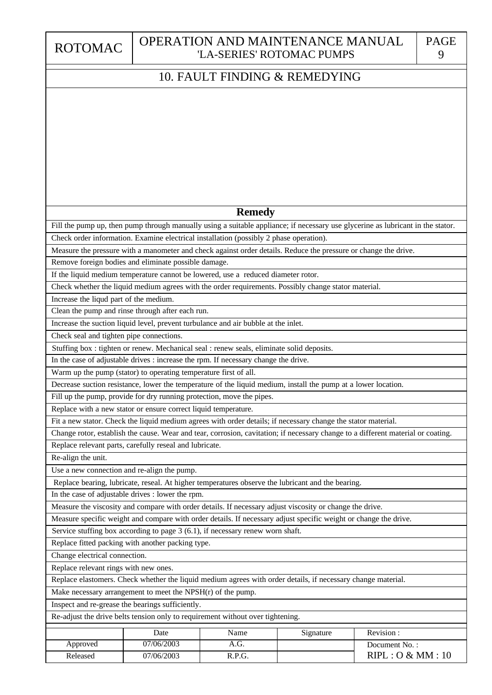ROTOMAC

# 10. FAULT FINDING & REMEDYING

# Inspect and re-grease the bearings sufficiently. Increase the liqud part of the medium. Clean the pump and rinse through after each run. Check seal and tighten pipe connections. Use a new connection and re-align the pump. In the case of adjustable drives : lower the rpm. Replace fitted packing with another packing type. Replace relevant rings with new ones. Change electrical connection. Fill the pump up, then pump through manually using a suitable appliance; if necessary use glycerine as lubricant in the stator. Check order information. Examine electrical installation (possibly 2 phase operation). Measure the pressure with a manometer and check against order details. Reduce the pressure or change the drive. If the liquid medium temperature cannot be lowered, use a reduced diameter rotor. Check whether the liquid medium agrees with the order requirements. Possibly change stator material. Increase the suction liquid level, prevent turbulance and air bubble at the inlet. Stuffing box : tighten or renew. Mechanical seal : renew seals, eliminate solid deposits. In the case of adjustable drives : increase the rpm. If necessary change the drive. Decrease suction resistance, lower the temperature of the liquid medium, install the pump at a lower location. Fit a new stator. Check the liquid medium agrees with order details; if necessary change the stator material. Change rotor, establish the cause. Wear and tear, corrosion, cavitation; if necessary change to a different material or coating. Replace bearing, lubricate, reseal. At higher temperatures observe the lubricant and the bearing. Measure the viscosity and compare with order details. If necessary adjust viscosity or change the drive. Measure specific weight and compare with order details. If necessary adjust specific weight or change the drive. Replace elastomers. Check whether the liquid medium agrees with order details, if necessary change material. Re-adjust the drive belts tension only to requirement without over tightening. Make necessary arrangement to meet the NPSH(r) of the pump. Warm up the pump (stator) to operating temperature first of all. Fill up the pump, provide for dry running protection, move the pipes. Replace with a new stator or ensure correct liquid temperature. Replace relevant parts, carefully reseal and lubricate. Service stuffing box according to page 3 (6.1), if necessary renew worn shaft. Remove foreign bodies and eliminate possible damage. Re-align the unit. **Remedy**

|          | Date       | Name   | Signature | Revision:        |
|----------|------------|--------|-----------|------------------|
| Approved | 07/06/2003 | A.U.   |           | Document No.:    |
| Released | 07/06/2003 | R.P.G. |           | RIPL: O & MM: 10 |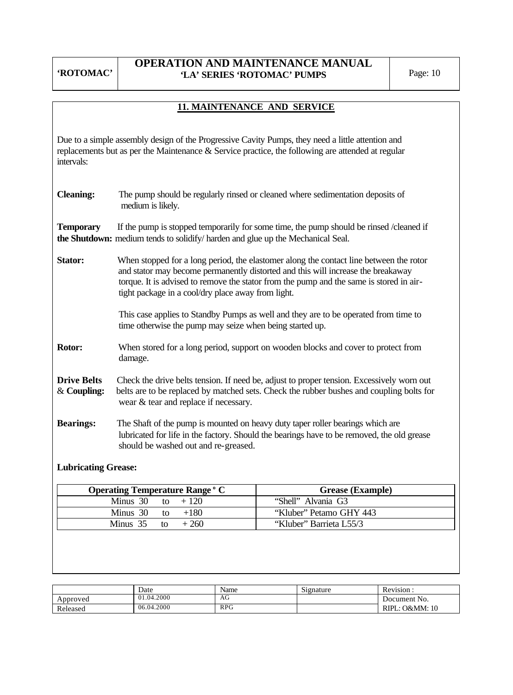# **OPERATION AND MAINTENANCE MANUAL**  'LA' SERIES 'ROTOMAC' PUMPS Page: 10

# **11. MAINTENANCE AND SERVICE**

Due to a simple assembly design of the Progressive Cavity Pumps, they need a little attention and replacements but as per the Maintenance & Service practice, the following are attended at regular intervals:

| <b>Cleaning:</b>                  | The pump should be regularly rinsed or cleaned where sedimentation deposits of<br>medium is likely.                                                                                                                                                                                                                         |  |  |  |  |  |  |  |
|-----------------------------------|-----------------------------------------------------------------------------------------------------------------------------------------------------------------------------------------------------------------------------------------------------------------------------------------------------------------------------|--|--|--|--|--|--|--|
| <b>Temporary</b>                  | If the pump is stopped temporarily for some time, the pump should be rinsed /cleaned if<br>the Shutdown: medium tends to solidify/harden and glue up the Mechanical Seal.                                                                                                                                                   |  |  |  |  |  |  |  |
| Stator:                           | When stopped for a long period, the elastomer along the contact line between the rotor<br>and stator may become permanently distorted and this will increase the breakaway<br>torque. It is advised to remove the stator from the pump and the same is stored in air-<br>tight package in a cool/dry place away from light. |  |  |  |  |  |  |  |
|                                   | This case applies to Standby Pumps as well and they are to be operated from time to<br>time otherwise the pump may seize when being started up.                                                                                                                                                                             |  |  |  |  |  |  |  |
| Rotor:                            | When stored for a long period, support on wooden blocks and cover to protect from<br>damage.                                                                                                                                                                                                                                |  |  |  |  |  |  |  |
| <b>Drive Belts</b><br>& Coupling: | Check the drive belts tension. If need be, adjust to proper tension. Excessively worn out<br>belts are to be replaced by matched sets. Check the rubber bushes and coupling bolts for<br>wear & tear and replace if necessary.                                                                                              |  |  |  |  |  |  |  |
| <b>Bearings:</b>                  | The Shaft of the pump is mounted on heavy duty taper roller bearings which are<br>lubricated for life in the factory. Should the bearings have to be removed, the old grease<br>should be washed out and re-greased.                                                                                                        |  |  |  |  |  |  |  |

# **Lubricating Grease:**

| <b>Operating Temperature Range ° C</b> | <b>Grease</b> ( <b>Example</b> ) |  |
|----------------------------------------|----------------------------------|--|
| Minus 30 to $+120$                     | "Shell" Alvania G3               |  |
| Minus 30 to $+180$                     | "Kluber" Petamo GHY 443          |  |
| Minus 35 to $+260$                     | "Kluber" Barrieta L55/3          |  |

|          | Date       | Name       | $\sim$<br>Signature | Revision            |
|----------|------------|------------|---------------------|---------------------|
| Approved | 01.04.2000 | AG         |                     | Document No.        |
| Released | 06.04.2000 | <b>RPG</b> |                     | RIPL.<br>: O&MM: 10 |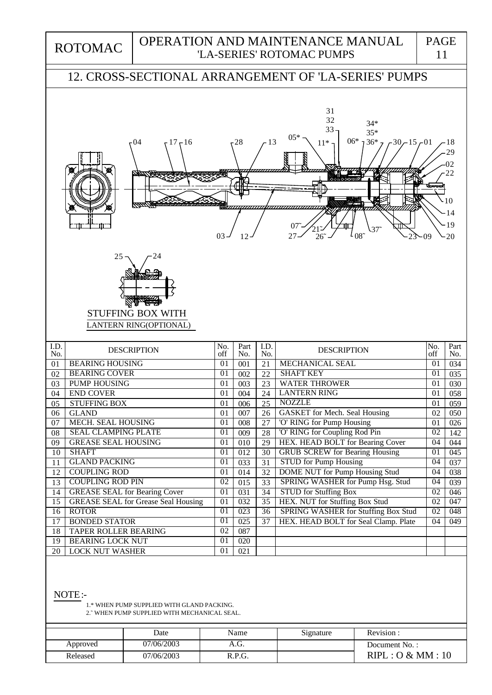ROTOMAC

## OPERATION AND MAINTENANCE MANUAL 'LA-SERIES' ROTOMAC PUMPS

# 12. CROSS-SECTIONAL ARRANGEMENT OF 'LA-SERIES' PUMPS



NOTE:-

 1.\* WHEN PUMP SUPPLIED WITH GLAND PACKING. 2.˜ WHEN PUMP SUPPLIED WITH MECHANICAL SEAL.

|          | Date       | Name   | Signature | Revision:        |
|----------|------------|--------|-----------|------------------|
| Approved | 07/06/2003 | A.U.   |           | Document No.:    |
| Released | 07/06/2003 | R.P.G. |           | RIPL: O & MM: 10 |